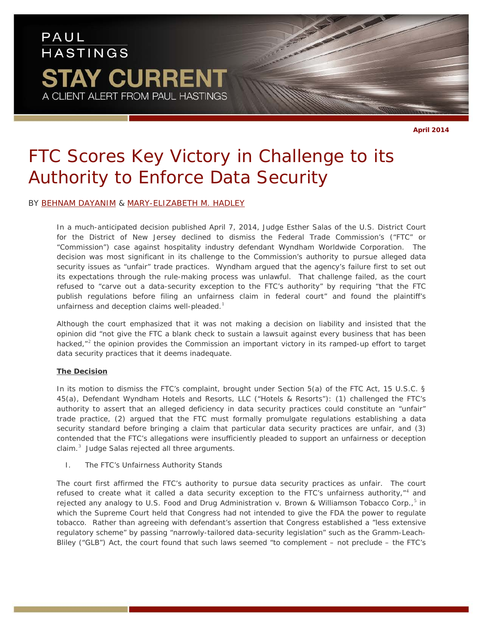# PAUL **HASTINGS STAY CURRENT** A CLIENT ALERT FROM PAUL HASTINGS

**April 2014**

# *FTC Scores Key Victory in Challenge to its Authority to Enforce Data Security*

### BY [BEHNAM DAYANIM](http://www.paulhastings.com/professionals/details/bdayanim) & [MARY-ELIZABETH M. HADLEY](http://www.paulhastings.com/professionals/details/maryelizabethhadley)

In a much-anticipated decision published April 7, 2014, Judge Esther Salas of the U.S. District Court for the District of New Jersey declined to dismiss the Federal Trade Commission's ("FTC" or "Commission") case against hospitality industry defendant Wyndham Worldwide Corporation. The decision was most significant in its challenge to the Commission's authority to pursue alleged data security issues as "unfair" trade practices. Wyndham argued that the agency's failure first to set out its expectations through the rule-making process was unlawful. That challenge failed, as the court refused to "carve out a data-security exception to the FTC's authority" by requiring "that the FTC publish regulations before filing an unfairness claim in federal court" and found the plaintiff's unfairness and deception claims well-pleaded.<sup>[1](#page-3-0)</sup>

Although the court emphasized that it was not making a decision on liability and insisted that the opinion did "*not* give the FTC a blank check to sustain a lawsuit against every business that has been hacked, $n^2$  $n^2$  the opinion provides the Commission an important victory in its ramped-up effort to target data security practices that it deems inadequate.

#### **The Decision**

In its motion to dismiss the FTC's complaint, brought under Section 5(a) of the FTC Act, 15 U.S.C. § 45(a), Defendant Wyndham Hotels and Resorts, LLC ("Hotels & Resorts"): (1) challenged the FTC's authority to assert that an alleged deficiency in data security practices could constitute an "unfair" trade practice, (2) argued that the FTC must formally promulgate regulations establishing a data security standard before bringing a claim that particular data security practices are unfair, and (3) contended that the FTC's allegations were insufficiently pleaded to support an unfairness or deception claim. $^3$  $^3$  Judge Salas rejected all three arguments.

#### *I. The FTC's Unfairness Authority Stands*

The court first affirmed the FTC's authority to pursue data security practices as unfair. The court refused to create what it called a data security exception to the FTC's unfairness authority,"<sup>[4](#page-3-3)</sup> and rejected any analogy to *U.S. Food and Drug Administration v. Brown & Williamson Tobacco Corp.*, [5](#page-3-4) in which the Supreme Court held that Congress had not intended to give the FDA the power to regulate tobacco. Rather than agreeing with defendant's assertion that Congress established a "less extensive regulatory scheme" by passing "narrowly-tailored data-security legislation" such as the Gramm-Leach-Bliley ("GLB") Act, the court found that such laws seemed "to complement – *not preclude* – the FTC's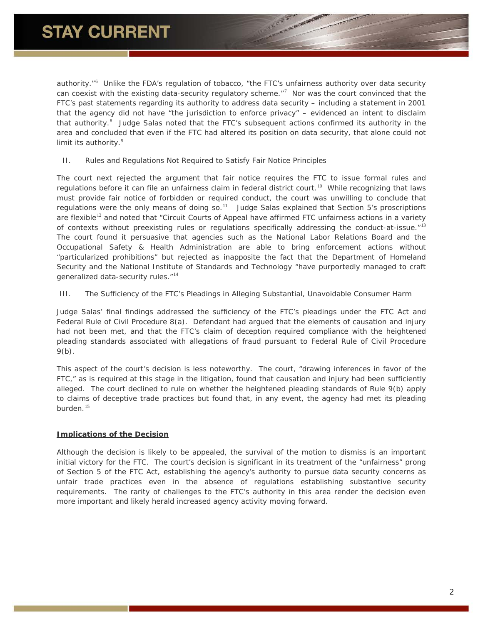authority."<sup>[6](#page-3-5)</sup> Unlike the FDA's regulation of tobacco, "the FTC's unfairness authority over data security can coexist with the existing data-security regulatory scheme."<sup>[7](#page-3-6)</sup> Nor was the court convinced that the FTC's past statements regarding its authority to address data security – including a statement in 2001 that the agency did not have "the jurisdiction to enforce privacy" – evidenced an intent to disclaim that authority.<sup>[8](#page-3-7)</sup> Judge Salas noted that the FTC's subsequent actions confirmed its authority in the area and concluded that even if the FTC had altered its position on data security, that alone could not limit its authority.<sup>[9](#page-3-8)</sup>

#### *II. Rules and Regulations Not Required to Satisfy Fair Notice Principles*

The court next rejected the argument that fair notice requires the FTC to issue formal rules and regulations before it can file an unfairness claim in federal district court.<sup>[10](#page-3-9)</sup> While recognizing that laws must provide fair notice of forbidden or required conduct, the court was unwilling to conclude that regulations were the only means of doing so. $11$  Judge Salas explained that Section 5's proscriptions are flexible<sup>[12](#page-3-11)</sup> and noted that "Circuit Courts of Appeal have affirmed FTC unfairness actions in a variety of contexts *without* preexisting rules or regulations specifically addressing the conduct-at-issue."[13](#page-3-12) The court found it persuasive that agencies such as the National Labor Relations Board and the Occupational Safety & Health Administration are able to bring enforcement actions without "particularized prohibitions" but rejected as inapposite the fact that the Department of Homeland Security and the National Institute of Standards and Technology "have purportedly managed to craft generalized data-security rules."<sup>[14](#page-3-13)</sup>

#### *III. The Sufficiency of the FTC's Pleadings in Alleging Substantial, Unavoidable Consumer Harm*

Judge Salas' final findings addressed the sufficiency of the FTC's pleadings under the FTC Act and Federal Rule of Civil Procedure 8(a). Defendant had argued that the elements of causation and injury had not been met, and that the FTC's claim of deception required compliance with the heightened pleading standards associated with allegations of fraud pursuant to Federal Rule of Civil Procedure 9(b).

This aspect of the court's decision is less noteworthy. The court, "drawing inferences in favor of the FTC," as is required at this stage in the litigation, found that causation and injury had been sufficiently alleged. The court declined to rule on whether the heightened pleading standards of Rule 9(b) apply to claims of deceptive trade practices but found that, in any event, the agency had met its pleading burden. [15](#page-3-14)

#### **Implications of the Decision**

Although the decision is likely to be appealed, the survival of the motion to dismiss is an important initial victory for the FTC. The court's decision is significant in its treatment of the "unfairness" prong of Section 5 of the FTC Act, establishing the agency's authority to pursue data security concerns as unfair trade practices even in the absence of regulations establishing substantive security requirements. The rarity of challenges to the FTC's authority in this area render the decision even more important and likely herald increased agency activity moving forward.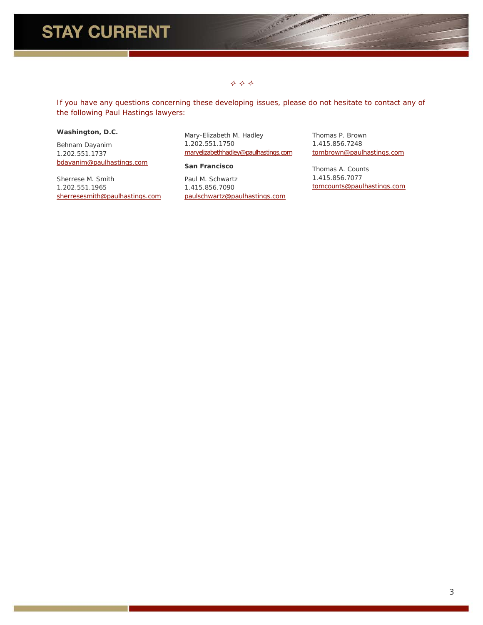### $\vec{r}$   $\vec{r}$

**ANY AREA** 

*If you have any questions concerning these developing issues, please do not hesitate to contact any of the following Paul Hastings lawyers:*

### **Washington, D.C.**

Behnam Dayanim 1.202.551.1737 [bdayanim@paulhastings.com](mailto:bdayanim@paulhastings.com)

Sherrese M. Smith 1.202.551.1965 sherresesmith@paulhastings.com Mary-Elizabeth M. Hadley 1.202.551.1750 [maryelizabethhadley@paulhastings.com](mailto:maryelizabethhadley@paulhastings.com)

#### **San Francisco**

Paul M. Schwartz 1.415.856.7090 [paulschwartz@paulhastings.com](mailto:paulschwartz@paulhastings.com) Thomas P. Brown 1.415.856.7248 tombrown@paulhastings.com

Thomas A. Counts 1.415.856.7077 tomcounts@paulhastings.com